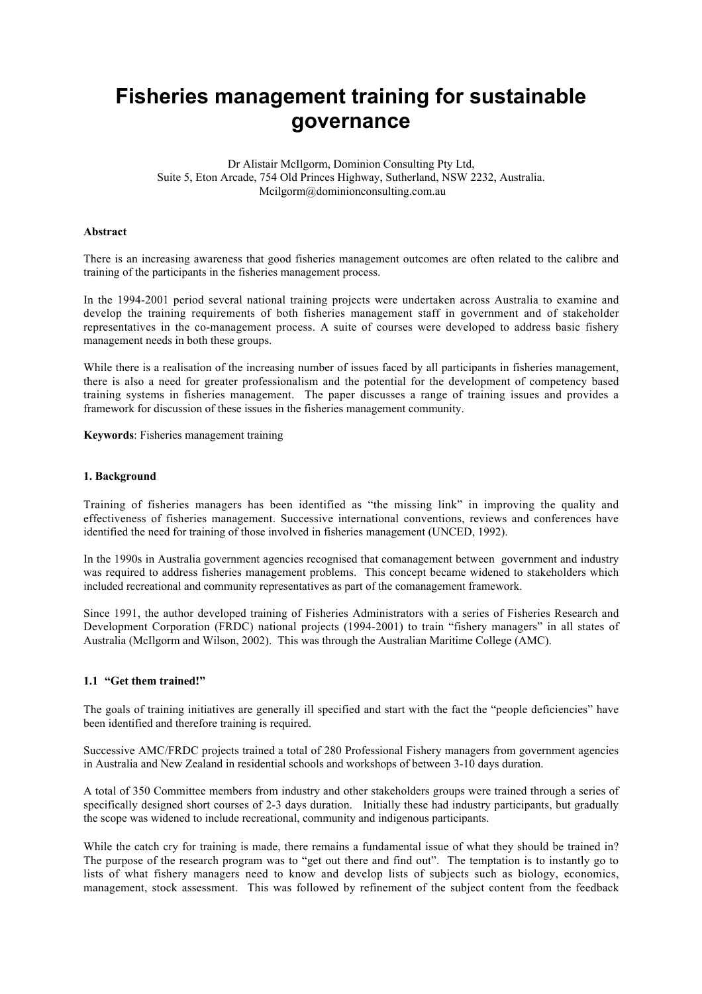# **Fisheries management training for sustainable governance**

Dr Alistair McIlgorm, Dominion Consulting Pty Ltd, Suite 5, Eton Arcade, 754 Old Princes Highway, Sutherland, NSW 2232, Australia. Mcilgorm@dominionconsulting.com.au

# **Abstract**

There is an increasing awareness that good fisheries management outcomes are often related to the calibre and training of the participants in the fisheries management process.

In the 1994-2001 period several national training projects were undertaken across Australia to examine and develop the training requirements of both fisheries management staff in government and of stakeholder representatives in the co-management process. A suite of courses were developed to address basic fishery management needs in both these groups.

While there is a realisation of the increasing number of issues faced by all participants in fisheries management, there is also a need for greater professionalism and the potential for the development of competency based training systems in fisheries management. The paper discusses a range of training issues and provides a framework for discussion of these issues in the fisheries management community.

**Keywords**: Fisheries management training

#### **1. Background**

Training of fisheries managers has been identified as "the missing link" in improving the quality and effectiveness of fisheries management. Successive international conventions, reviews and conferences have identified the need for training of those involved in fisheries management (UNCED, 1992).

In the 1990s in Australia government agencies recognised that comanagement between government and industry was required to address fisheries management problems. This concept became widened to stakeholders which included recreational and community representatives as part of the comanagement framework.

Since 1991, the author developed training of Fisheries Administrators with a series of Fisheries Research and Development Corporation (FRDC) national projects (1994-2001) to train "fishery managers" in all states of Australia (McIlgorm and Wilson, 2002). This was through the Australian Maritime College (AMC).

# **1.1 "Get them trained!"**

The goals of training initiatives are generally ill specified and start with the fact the "people deficiencies" have been identified and therefore training is required.

Successive AMC/FRDC projects trained a total of 280 Professional Fishery managers from government agencies in Australia and New Zealand in residential schools and workshops of between 3-10 days duration.

A total of 350 Committee members from industry and other stakeholders groups were trained through a series of specifically designed short courses of 2-3 days duration. Initially these had industry participants, but gradually the scope was widened to include recreational, community and indigenous participants.

While the catch cry for training is made, there remains a fundamental issue of what they should be trained in? The purpose of the research program was to "get out there and find out". The temptation is to instantly go to lists of what fishery managers need to know and develop lists of subjects such as biology, economics, management, stock assessment. This was followed by refinement of the subject content from the feedback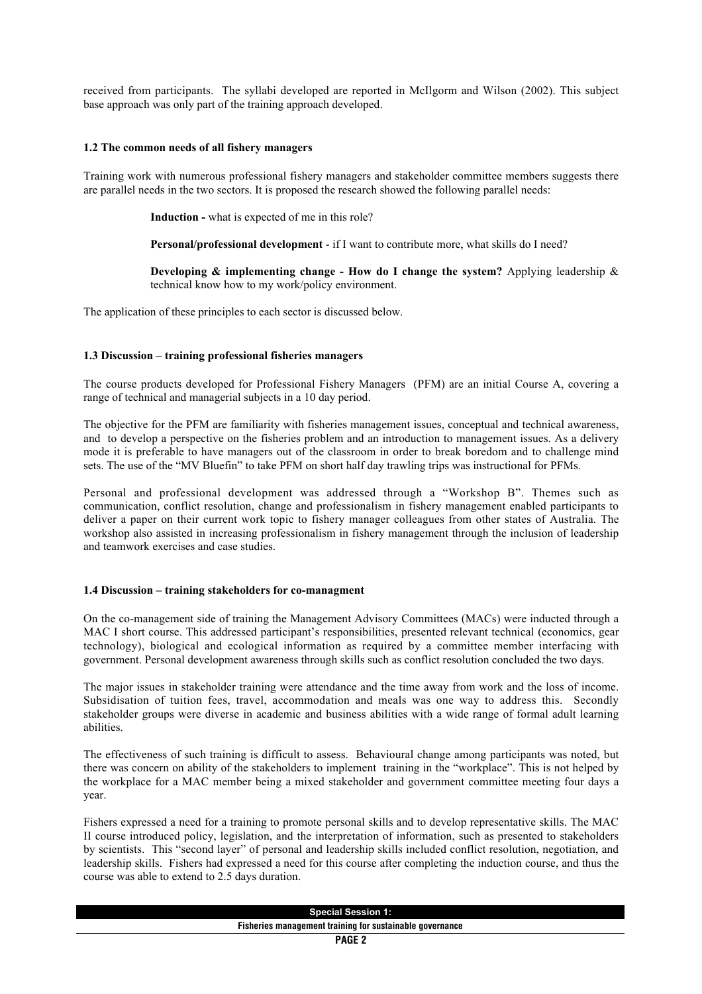received from participants. The syllabi developed are reported in McIlgorm and Wilson (2002). This subject base approach was only part of the training approach developed.

#### **1.2 The common needs of all fishery managers**

Training work with numerous professional fishery managers and stakeholder committee members suggests there are parallel needs in the two sectors. It is proposed the research showed the following parallel needs:

**Induction -** what is expected of me in this role?

**Personal/professional development** - if I want to contribute more, what skills do I need?

**Developing & implementing change - How do I change the system?** Applying leadership & technical know how to my work/policy environment.

The application of these principles to each sector is discussed below.

#### **1.3 Discussion – training professional fisheries managers**

The course products developed for Professional Fishery Managers (PFM) are an initial Course A, covering a range of technical and managerial subjects in a 10 day period.

The objective for the PFM are familiarity with fisheries management issues, conceptual and technical awareness, and to develop a perspective on the fisheries problem and an introduction to management issues. As a delivery mode it is preferable to have managers out of the classroom in order to break boredom and to challenge mind sets. The use of the "MV Bluefin" to take PFM on short half day trawling trips was instructional for PFMs.

Personal and professional development was addressed through a "Workshop B". Themes such as communication, conflict resolution, change and professionalism in fishery management enabled participants to deliver a paper on their current work topic to fishery manager colleagues from other states of Australia. The workshop also assisted in increasing professionalism in fishery management through the inclusion of leadership and teamwork exercises and case studies.

#### **1.4 Discussion – training stakeholders for co-managment**

On the co-management side of training the Management Advisory Committees (MACs) were inducted through a MAC I short course. This addressed participant's responsibilities, presented relevant technical (economics, gear technology), biological and ecological information as required by a committee member interfacing with government. Personal development awareness through skills such as conflict resolution concluded the two days.

The major issues in stakeholder training were attendance and the time away from work and the loss of income. Subsidisation of tuition fees, travel, accommodation and meals was one way to address this. Secondly stakeholder groups were diverse in academic and business abilities with a wide range of formal adult learning abilities.

The effectiveness of such training is difficult to assess. Behavioural change among participants was noted, but there was concern on ability of the stakeholders to implement training in the "workplace". This is not helped by the workplace for a MAC member being a mixed stakeholder and government committee meeting four days a year.

Fishers expressed a need for a training to promote personal skills and to develop representative skills. The MAC II course introduced policy, legislation, and the interpretation of information, such as presented to stakeholders by scientists. This "second layer" of personal and leadership skills included conflict resolution, negotiation, and leadership skills. Fishers had expressed a need for this course after completing the induction course, and thus the course was able to extend to 2.5 days duration.

| <b>Special Session 1:</b>                                |
|----------------------------------------------------------|
| Fisheries management training for sustainable governance |
| <b>PAGE 2</b>                                            |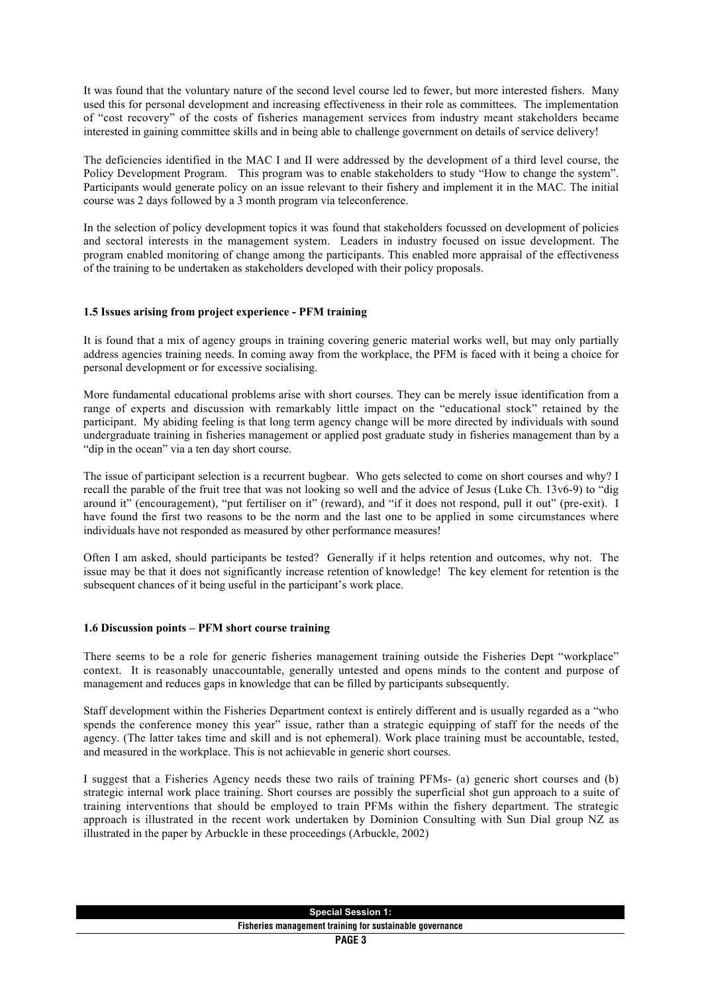It was found that the voluntary nature of the second level course led to fewer, but more interested fishers. Many used this for personal development and increasing effectiveness in their role as committees. The implementation of "cost recovery" of the costs of fisheries management services from industry meant stakeholders became interested in gaining committee skills and in being able to challenge government on details of service delivery!

The deficiencies identified in the MAC I and II were addressed by the development of a third level course, the Policy Development Program. This program was to enable stakeholders to study "How to change the system". Participants would generate policy on an issue relevant to their fishery and implement it in the MAC. The initial course was 2 days followed by a 3 month program via teleconference.

In the selection of policy development topics it was found that stakeholders focussed on development of policies and sectoral interests in the management system. Leaders in industry focused on issue development. The program enabled monitoring of change among the participants. This enabled more appraisal of the effectiveness of the training to be undertaken as stakeholders developed with their policy proposals.

# **1.5 Issues arising from project experience - PFM training**

It is found that a mix of agency groups in training covering generic material works well, but may only partially address agencies training needs. In coming away from the workplace, the PFM is faced with it being a choice for personal development or for excessive socialising.

More fundamental educational problems arise with short courses. They can be merely issue identification from a range of experts and discussion with remarkably little impact on the "educational stock" retained by the participant. My abiding feeling is that long term agency change will be more directed by individuals with sound undergraduate training in fisheries management or applied post graduate study in fisheries management than by a "dip in the ocean" via a ten day short course.

The issue of participant selection is a recurrent bugbear. Who gets selected to come on short courses and why? I recall the parable of the fruit tree that was not looking so well and the advice of Jesus (Luke Ch. 13v6-9) to "dig around it" (encouragement), "put fertiliser on it" (reward), and "if it does not respond, pull it out" (pre-exit). I have found the first two reasons to be the norm and the last one to be applied in some circumstances where individuals have not responded as measured by other performance measures!

Often I am asked, should participants be tested? Generally if it helps retention and outcomes, why not. The issue may be that it does not significantly increase retention of knowledge! The key element for retention is the subsequent chances of it being useful in the participant's work place.

# **1.6 Discussion points – PFM short course training**

There seems to be a role for generic fisheries management training outside the Fisheries Dept "workplace" context. It is reasonably unaccountable, generally untested and opens minds to the content and purpose of management and reduces gaps in knowledge that can be filled by participants subsequently.

Staff development within the Fisheries Department context is entirely different and is usually regarded as a "who spends the conference money this year" issue, rather than a strategic equipping of staff for the needs of the agency. (The latter takes time and skill and is not ephemeral). Work place training must be accountable, tested, and measured in the workplace. This is not achievable in generic short courses.

I suggest that a Fisheries Agency needs these two rails of training PFMs- (a) generic short courses and (b) strategic internal work place training. Short courses are possibly the superficial shot gun approach to a suite of training interventions that should be employed to train PFMs within the fishery department. The strategic approach is illustrated in the recent work undertaken by Dominion Consulting with Sun Dial group NZ as illustrated in the paper by Arbuckle in these proceedings (Arbuckle, 2002)

| Special<br><b>Session 1:</b>                                               |
|----------------------------------------------------------------------------|
| Fisher.<br>t training for sustainable<br>ories<br>manadement<br>aovernance |
| $\sim$                                                                     |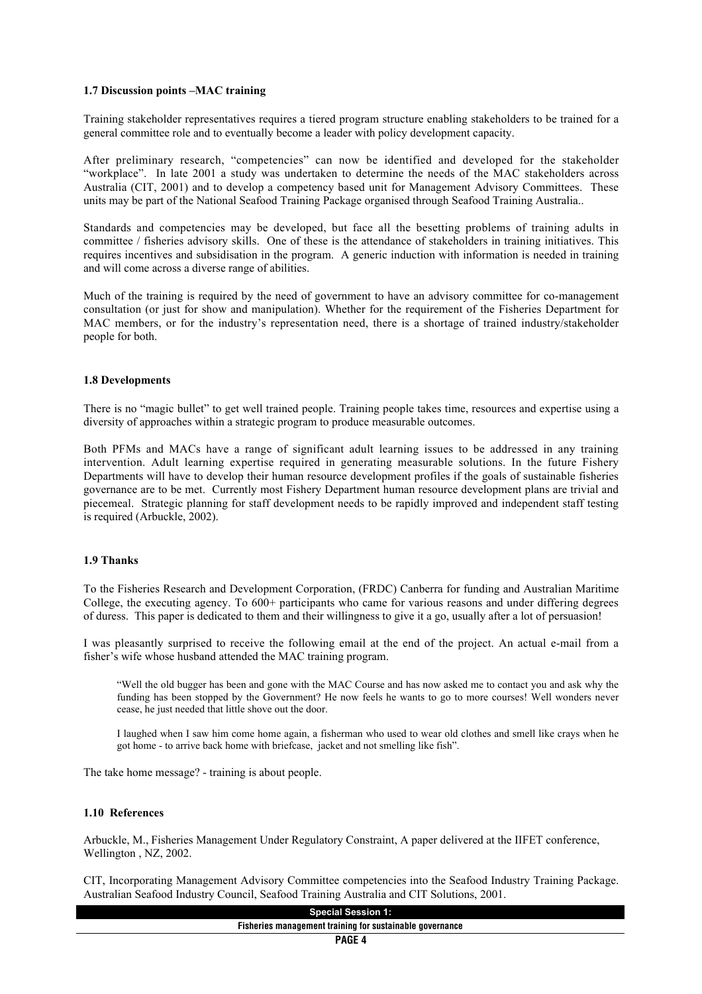#### **1.7 Discussion points –MAC training**

Training stakeholder representatives requires a tiered program structure enabling stakeholders to be trained for a general committee role and to eventually become a leader with policy development capacity.

After preliminary research, "competencies" can now be identified and developed for the stakeholder "workplace". In late 2001 a study was undertaken to determine the needs of the MAC stakeholders across Australia (CIT, 2001) and to develop a competency based unit for Management Advisory Committees. These units may be part of the National Seafood Training Package organised through Seafood Training Australia..

Standards and competencies may be developed, but face all the besetting problems of training adults in committee / fisheries advisory skills. One of these is the attendance of stakeholders in training initiatives. This requires incentives and subsidisation in the program. A generic induction with information is needed in training and will come across a diverse range of abilities.

Much of the training is required by the need of government to have an advisory committee for co-management consultation (or just for show and manipulation). Whether for the requirement of the Fisheries Department for MAC members, or for the industry's representation need, there is a shortage of trained industry/stakeholder people for both.

# **1.8 Developments**

There is no "magic bullet" to get well trained people. Training people takes time, resources and expertise using a diversity of approaches within a strategic program to produce measurable outcomes.

Both PFMs and MACs have a range of significant adult learning issues to be addressed in any training intervention. Adult learning expertise required in generating measurable solutions. In the future Fishery Departments will have to develop their human resource development profiles if the goals of sustainable fisheries governance are to be met. Currently most Fishery Department human resource development plans are trivial and piecemeal. Strategic planning for staff development needs to be rapidly improved and independent staff testing is required (Arbuckle, 2002).

# **1.9 Thanks**

To the Fisheries Research and Development Corporation, (FRDC) Canberra for funding and Australian Maritime College, the executing agency. To 600+ participants who came for various reasons and under differing degrees of duress. This paper is dedicated to them and their willingness to give it a go, usually after a lot of persuasion!

I was pleasantly surprised to receive the following email at the end of the project. An actual e-mail from a fisher's wife whose husband attended the MAC training program.

"Well the old bugger has been and gone with the MAC Course and has now asked me to contact you and ask why the funding has been stopped by the Government? He now feels he wants to go to more courses! Well wonders never cease, he just needed that little shove out the door.

I laughed when I saw him come home again, a fisherman who used to wear old clothes and smell like crays when he got home - to arrive back home with briefcase, jacket and not smelling like fish".

The take home message? - training is about people.

#### **1.10 References**

Arbuckle, M., Fisheries Management Under Regulatory Constraint, A paper delivered at the IIFET conference, Wellington , NZ, 2002.

CIT, Incorporating Management Advisory Committee competencies into the Seafood Industry Training Package. Australian Seafood Industry Council, Seafood Training Australia and CIT Solutions, 2001.